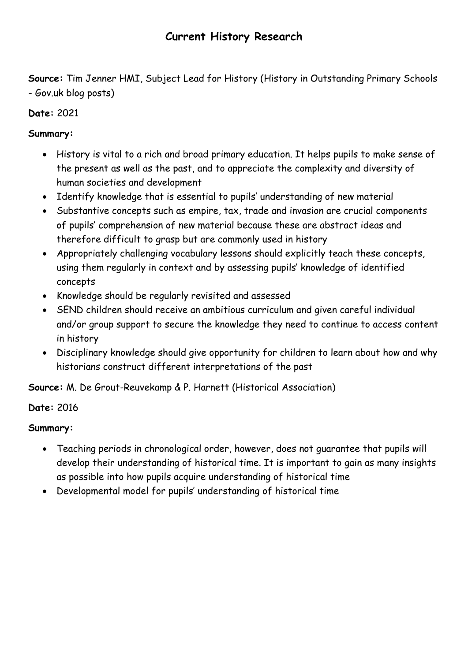**Source:** Tim Jenner HMI, Subject Lead for History (History in Outstanding Primary Schools - Gov.uk blog posts)

# **Date:** 2021

## **Summary:**

- History is vital to a rich and broad primary education. It helps pupils to make sense of the present as well as the past, and to appreciate the complexity and diversity of human societies and development
- Identify knowledge that is essential to pupils' understanding of new material
- Substantive concepts such as empire, tax, trade and invasion are crucial components of pupils' comprehension of new material because these are abstract ideas and therefore difficult to grasp but are commonly used in history
- Appropriately challenging vocabulary lessons should explicitly teach these concepts, using them regularly in context and by assessing pupils' knowledge of identified concepts
- Knowledge should be regularly revisited and assessed
- SEND children should receive an ambitious curriculum and given careful individual and/or group support to secure the knowledge they need to continue to access content in history
- Disciplinary knowledge should give opportunity for children to learn about how and why historians construct different interpretations of the past

**Source:** M. De Grout-Reuvekamp & P. Harnett (Historical Association)

### **Date:** 2016

### **Summary:**

- Teaching periods in chronological order, however, does not guarantee that pupils will develop their understanding of historical time. It is important to gain as many insights as possible into how pupils acquire understanding of historical time
- Developmental model for pupils' understanding of historical time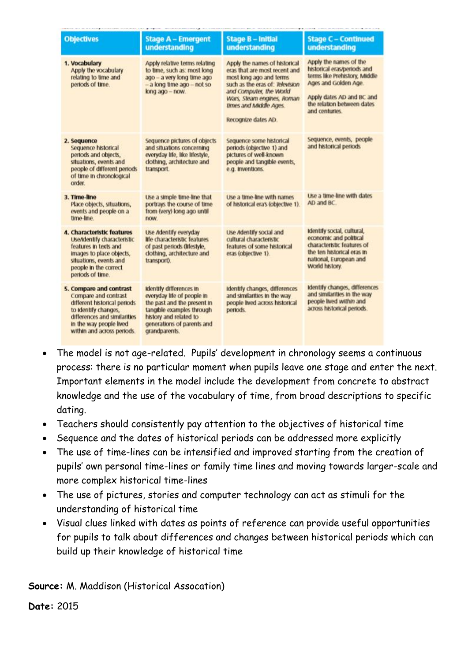| <b>Objectives</b>                                                                                                                                                                                | <b>Stage A - Emergent</b><br>understanding                                                                                                                                                 | <b>Stage B - Initial</b><br>understanding                                                                                                                                                                                              | <b>Stage C - Continued</b><br>understanding                                                                                                                                                 |
|--------------------------------------------------------------------------------------------------------------------------------------------------------------------------------------------------|--------------------------------------------------------------------------------------------------------------------------------------------------------------------------------------------|----------------------------------------------------------------------------------------------------------------------------------------------------------------------------------------------------------------------------------------|---------------------------------------------------------------------------------------------------------------------------------------------------------------------------------------------|
| 1. Vocabulary<br>Apply the vocabulary<br>relating to time and<br>periods of time.                                                                                                                | Apply relative terms relating<br>to time, such as: most long<br>ago - a very long time ago<br>- a long time ago - not so<br>long ago - now.                                                | Apply the names of historical<br>eras that are most recent and<br>most long ago and terms<br>such as the eras of: Television<br>and Computer, the World<br>Wars, Steam engines, Roman<br>times and Middle Ages.<br>Recognize dates AD. | Apply the names of the<br>historical eras/periods and<br>terms like Prehistory, Middle<br>Ages and Golden Age.<br>Apply dates AD and BC and<br>the relation between dates<br>and centuries. |
| 2. Sequence<br>Sequence historical<br>periods and objects,<br>situations, events and<br>people of different periods<br>of time in chronological<br>order.                                        | Sequence pictures of objects<br>and situations concerning<br>everyday life, like lifestyle,<br>dothing, architecture and<br>transport                                                      | Sequence some historical<br>periods (objective 1) and<br>pictures of well-known<br>people and tangible events,<br>e.g. Inventions.                                                                                                     | Sequence, events, people<br>and historical periods                                                                                                                                          |
| 3. Time-line<br>Place objects, situations,<br>events and people on a<br>time-line.                                                                                                               | Use a simple time-line that<br>portrays the course of time<br>from (very) long ago until<br>now.                                                                                           | Use a time-line with names<br>of historical era's (objective 1).                                                                                                                                                                       | Use a time-line with dates<br>AD and BC                                                                                                                                                     |
| 4. Characteristic features<br><b>Use/identify characteristic</b><br>features in texts and<br>images to place objects,<br>situations, events and<br>people in the correct<br>periods of time.     | Use Adentify everyday<br>life characteristic features<br>of past periods (lifestyle,<br>dothing, architecture and<br>transport).                                                           | Use Adentify social and<br>cultural characteristic<br>features of some historical<br>eras (objective 1).                                                                                                                               | Identify social, cultural,<br>economic and political<br>characteristic features of<br>the ten historical eras in<br>national, European and<br>World history.                                |
| 5. Compare and contrast<br>Compare and contrast<br>different historical periods<br>to Identify changes,<br>differences and similarities<br>in the way people lived<br>within and across periods. | Identify differences in<br>everyday life of people in<br>the past and the present in<br>tangible examples through<br>history and related to<br>generations of parents and<br>grandparents. | Identify changes, differences<br>and similarities in the way<br>people lived across historical<br>periods.                                                                                                                             | Identify changes, differences<br>and similarities in the way<br>people lived within and<br>across historical periods.                                                                       |

- The model is not age-related. Pupils' development in chronology seems a continuous process: there is no particular moment when pupils leave one stage and enter the next. Important elements in the model include the development from concrete to abstract knowledge and the use of the vocabulary of time, from broad descriptions to specific dating.
- Teachers should consistently pay attention to the objectives of historical time
- Sequence and the dates of historical periods can be addressed more explicitly
- The use of time-lines can be intensified and improved starting from the creation of pupils' own personal time-lines or family time lines and moving towards larger-scale and more complex historical time-lines
- The use of pictures, stories and computer technology can act as stimuli for the understanding of historical time
- Visual clues linked with dates as points of reference can provide useful opportunities for pupils to talk about differences and changes between historical periods which can build up their knowledge of historical time

**Source:** M. Maddison (Historical Assocation)

**Date:** 2015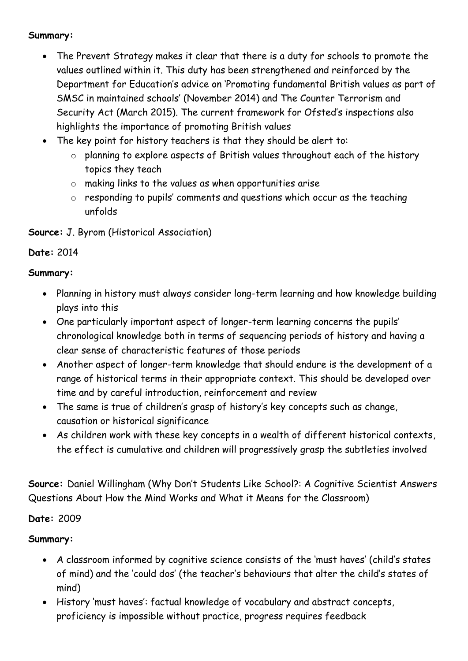#### **Summary:**

- The Prevent Strategy makes it clear that there is a duty for schools to promote the values outlined within it. This duty has been strengthened and reinforced by the Department for Education's advice on 'Promoting fundamental British values as part of SMSC in maintained schools' (November 2014) and The Counter Terrorism and Security Act (March 2015). The current framework for Ofsted's inspections also highlights the importance of promoting British values
- The key point for history teachers is that they should be alert to:
	- o planning to explore aspects of British values throughout each of the history topics they teach
	- o making links to the values as when opportunities arise
	- o responding to pupils' comments and questions which occur as the teaching unfolds
- **Source:** J. Byrom (Historical Association)

### **Date:** 2014

#### **Summary:**

- Planning in history must always consider long-term learning and how knowledge building plays into this
- One particularly important aspect of longer-term learning concerns the pupils' chronological knowledge both in terms of sequencing periods of history and having a clear sense of characteristic features of those periods
- Another aspect of longer-term knowledge that should endure is the development of a range of historical terms in their appropriate context. This should be developed over time and by careful introduction, reinforcement and review
- The same is true of children's grasp of history's key concepts such as change, causation or historical significance
- As children work with these key concepts in a wealth of different historical contexts, the effect is cumulative and children will progressively grasp the subtleties involved

**Source:** Daniel Willingham (Why Don't Students Like School?: A Cognitive Scientist Answers Questions About How the Mind Works and What it Means for the Classroom)

### **Date:** 2009

### **Summary:**

- A classroom informed by cognitive science consists of the 'must haves' (child's states of mind) and the 'could dos' (the teacher's behaviours that alter the child's states of mind)
- History 'must haves': factual knowledge of vocabulary and abstract concepts, proficiency is impossible without practice, progress requires feedback